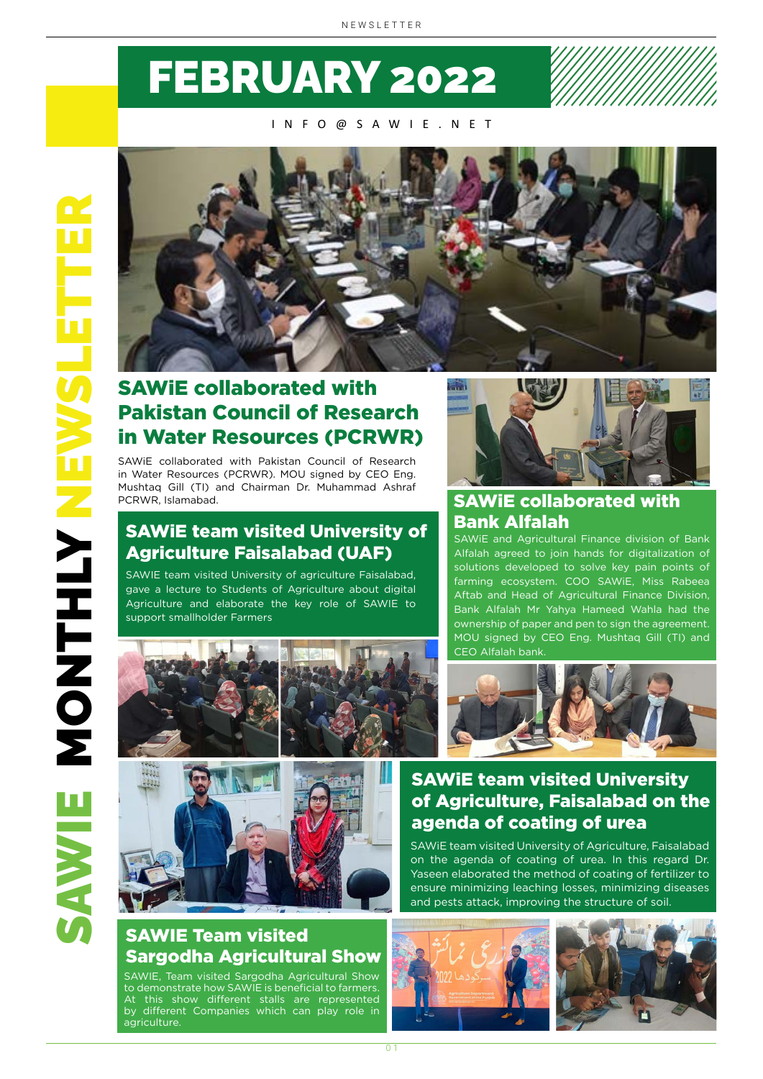# FEBRUARY 2022

INFO@SAWIE.NET



## SAWiE collaborated with Pakistan Council of Research in Water Resources (PCRWR)

SAWiE collaborated with Pakistan Council of Research in Water Resources (PCRWR). MOU signed by CEO Eng. Mushtaq Gill (TI) and Chairman Dr. Muhammad Ashraf PCRWR, Islamabad.

#### SAWiE team visited University of Agriculture Faisalabad (UAF)

SAWIE team visited University of agriculture Faisalabad, gave a lecture to Students of Agriculture about digital Agriculture and elaborate the key role of SAWIE to support smallholder Farmers



#### SAWiE collaborated with Bank Alfalah

SAWiE and Agricultural Finance division of Bank Alfalah agreed to join hands for digitalization of solutions developed to solve key pain points of farming ecosystem. COO SAWiE, Miss Rabeea Aftab and Head of Agricultural Finance Division, Bank Alfalah Mr Yahya Hameed Wahla had the ownership of paper and pen to sign the agreement. MOU signed by CEO Eng. Mushtaq Gill (TI) and CEO Alfalah bank.





#### SAWiE team visited University of Agriculture, Faisalabad on the agenda of coating of urea

SAWiE team visited University of Agriculture, Faisalabad on the agenda of coating of urea. In this regard Dr. Yaseen elaborated the method of coating of fertilizer to ensure minimizing leaching losses, minimizing diseases and pests attack, improving the structure of soil.

#### SAWIE Team visited Sargodha Agricultural Show

SAWIE, Team visited Sargodha Agricultural Show to demonstrate how SAWIE is beneficial to farmers. At this show different stalls are represented by different Companies which can play role in agriculture.